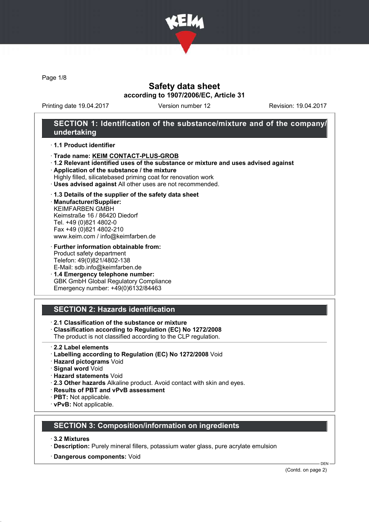

Page 1/8

# Safety data sheet according to 1907/2006/EC, Article 31

Printing date 19.04.2017 Version number 12 Revision: 19.04.2017

## SECTION 1: Identification of the substance/mixture and of the company/ undertaking

#### · 1.1 Product identifier

- · Trade name: KEIM CONTACT-PLUS-GROB
- · 1.2 Relevant identified uses of the substance or mixture and uses advised against
- · Application of the substance / the mixture
- Highly filled, silicatebased priming coat for renovation work
- · Uses advised against All other uses are not recommended.

#### · 1.3 Details of the supplier of the safety data sheet

· Manufacturer/Supplier: KEIMFARBEN GMBH Keimstraße 16 / 86420 Diedorf Tel. +49 (0)821 4802-0 Fax +49 (0)821 4802-210 www.keim.com / info@keimfarben.de

· Further information obtainable from: Product safety department Telefon: 49(0)821/4802-138 E-Mail: sdb.info@keimfarben.de

· 1.4 Emergency telephone number: GBK GmbH Global Regulatory Compliance Emergency number: +49(0)6132/84463

# SECTION 2: Hazards identification

· 2.1 Classification of the substance or mixture

- · Classification according to Regulation (EC) No 1272/2008
- The product is not classified according to the CLP regulation.
- · 2.2 Label elements
- · Labelling according to Regulation (EC) No 1272/2008 Void
- · Hazard pictograms Void
- · Signal word Void
- · Hazard statements Void
- · 2.3 Other hazards Alkaline product. Avoid contact with skin and eyes.
- · Results of PBT and vPvB assessment
- · PBT: Not applicable.
- · vPvB: Not applicable.

# SECTION 3: Composition/information on ingredients

- · 3.2 Mixtures
- · Description: Purely mineral fillers, potassium water glass, pure acrylate emulsion
- · Dangerous components: Void

(Contd. on page 2)

DEN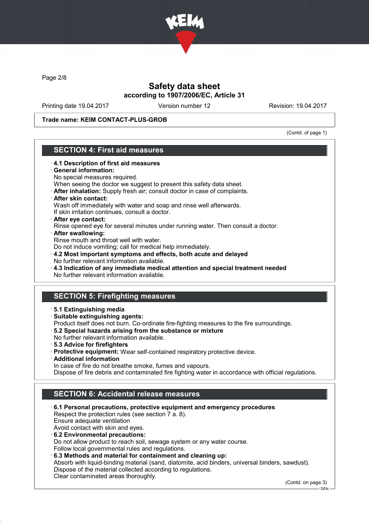

Page 2/8

# Safety data sheet according to 1907/2006/EC, Article 31

Printing date 19.04.2017 Version number 12 Revision: 19.04.2017

Trade name: KEIM CONTACT-PLUS-GROB

(Contd. of page 1)

# SECTION 4: First aid measures

- · 4.1 Description of first aid measures General information: No special measures required. When seeing the doctor we suggest to present this safety data sheet. · After inhalation: Supply fresh air; consult doctor in case of complaints. · After skin contact: Wash off immediately with water and soap and rinse well afterwards. If skin irritation continues, consult a doctor. · After eye contact: Rinse opened eye for several minutes under running water. Then consult a doctor. · After swallowing: Rinse mouth and throat well with water. Do not induce vomiting; call for medical help immediately. · 4.2 Most important symptoms and effects, both acute and delayed No further relevant information available. · 4.3 Indication of any immediate medical attention and special treatment needed No further relevant information available. SECTION 5: Firefighting measures · 5.1 Extinguishing media · Suitable extinguishing agents: Product itself does not burn. Co-ordinate fire-fighting measures to the fire surroundings. · 5.2 Special hazards arising from the substance or mixture No further relevant information available. · 5.3 Advice for firefighters · Protective equipment: Wear self-contained respiratory protective device.
	-
	- · Additional information
	- In case of fire do not breathe smoke, fumes and vapours.

Dispose of fire debris and contaminated fire fighting water in accordance with official regulations.

# SECTION 6: Accidental release measures

· 6.1 Personal precautions, protective equipment and emergency procedures Respect the protection rules (see section 7 a. 8). Ensure adequate ventilation Avoid contact with skin and eyes. · 6.2 Environmental precautions: Do not allow product to reach soil, sewage system or any water course. Follow local governmental rules and regulations. · 6.3 Methods and material for containment and cleaning up: Absorb with liquid-binding material (sand, diatomite, acid binders, universal binders, sawdust). Dispose of the material collected according to regulations.

Clear contaminated areas thoroughly.

(Contd. on page 3)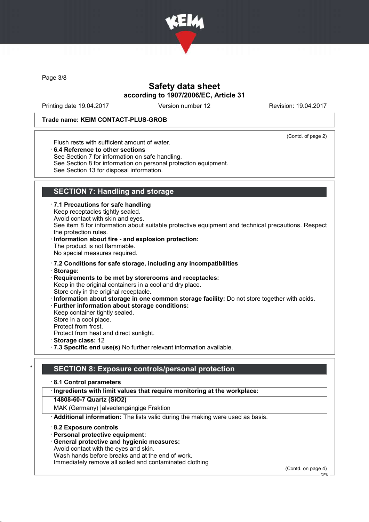

Page 3/8

# Safety data sheet according to 1907/2006/EC, Article 31

Printing date 19.04.2017 Version number 12 Revision: 19.04.2017

#### Trade name: KEIM CONTACT-PLUS-GROB

(Contd. of page 2)

Flush rests with sufficient amount of water.

· 6.4 Reference to other sections

See Section 7 for information on safe handling.

See Section 8 for information on personal protection equipment.

See Section 13 for disposal information.

# SECTION 7: Handling and storage

· 7.1 Precautions for safe handling

Keep receptacles tightly sealed. Avoid contact with skin and eyes.

See item 8 for information about suitable protective equipment and technical precautions. Respect the protection rules.

#### · Information about fire - and explosion protection:

The product is not flammable. No special measures required.

· 7.2 Conditions for safe storage, including any incompatibilities

- · Storage:
- · Requirements to be met by storerooms and receptacles: Keep in the original containers in a cool and dry place.

Store only in the original receptacle.

- · Information about storage in one common storage facility: Do not store together with acids.
- Further information about storage conditions: Keep container tightly sealed.
- Store in a cool place.

Protect from frost.

Protect from heat and direct sunlight.

- · Storage class: 12
- · 7.3 Specific end use(s) No further relevant information available.

## SECTION 8: Exposure controls/personal protection

#### · 8.1 Control parameters

### · Ingredients with limit values that require monitoring at the workplace:

14808-60-7 Quartz (SiO2)

MAK (Germany) alveolengängige Fraktion

· Additional information: The lists valid during the making were used as basis.

· 8.2 Exposure controls

- · Personal protective equipment:
- · General protective and hygienic measures:

Avoid contact with the eyes and skin.

Wash hands before breaks and at the end of work.

Immediately remove all soiled and contaminated clothing

(Contd. on page 4) DEN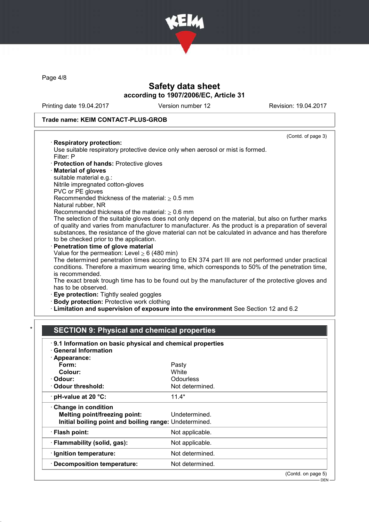

Page 4/8

# Safety data sheet according to 1907/2006/EC, Article 31

Printing date 19.04.2017 Version number 12 Revision: 19.04.2017

### Trade name: KEIM CONTACT-PLUS-GROB

#### (Contd. of page 3)

#### · Respiratory protection:

Use suitable respiratory protective device only when aerosol or mist is formed. Filter: P

- · Protection of hands: Protective gloves
- · Material of gloves
- suitable material e.g.:
- Nitrile impregnated cotton-gloves
- PVC or PE gloves Recommended thickness of the material:  $> 0.5$  mm
- Natural rubber, NR

Recommended thickness of the material:  $\geq 0.6$  mm

The selection of the suitable gloves does not only depend on the material, but also on further marks of quality and varies from manufacturer to manufacturer. As the product is a preparation of several substances, the resistance of the glove material can not be calculated in advance and has therefore to be checked prior to the application.

Penetration time of glove material

Value for the permeation: Level  $\geq 6$  (480 min)

The determined penetration times according to EN 374 part III are not performed under practical conditions. Therefore a maximum wearing time, which corresponds to 50% of the penetration time, is recommended.

The exact break trough time has to be found out by the manufacturer of the protective gloves and has to be observed.

- · Eye protection: Tightly sealed goggles
- · Body protection: Protective work clothing
- · Limitation and supervision of exposure into the environment See Section 12 and 6.2

## **SECTION 9: Physical and chemical properties**

| 9.1 Information on basic physical and chemical properties<br>· General Information |                    |
|------------------------------------------------------------------------------------|--------------------|
| · Appearance:                                                                      |                    |
| Form:                                                                              | Pasty              |
| Colour:                                                                            | White              |
| · Odour:                                                                           | Odourless          |
| Odour threshold:                                                                   | Not determined.    |
| $\cdot$ pH-value at 20 $\degree$ C:                                                | $11.4*$            |
| $\cdot$ Change in condition                                                        |                    |
| Melting point/freezing point:                                                      | Undetermined.      |
| Initial boiling point and boiling range: Undetermined.                             |                    |
| · Flash point:                                                                     | Not applicable.    |
| · Flammability (solid, gas):                                                       | Not applicable.    |
| · Ignition temperature:                                                            | Not determined.    |
| · Decomposition temperature:                                                       | Not determined.    |
|                                                                                    | (Contd. on page 5) |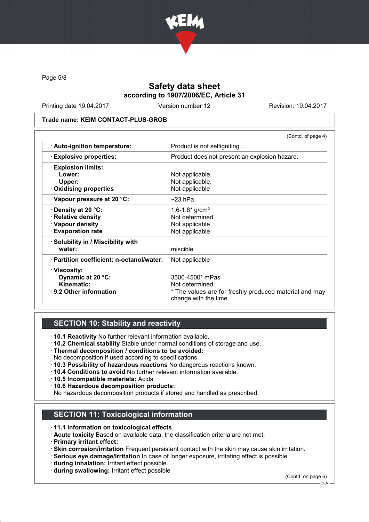

Page 5/8

# Safety data sheet according to 1907/2006/EC, Article 31

Printing date 19.04.2017 Version number 12 Revision: 19.04.2017

#### Trade name: KEIM CONTACT-PLUS-GROB

|                                           | (Contd. of page 4)                                                              |
|-------------------------------------------|---------------------------------------------------------------------------------|
| · Auto-ignition temperature:              | Product is not selfigniting.                                                    |
| <b>Explosive properties:</b>              | Product does not present an explosion hazard.                                   |
| <b>Explosion limits:</b>                  |                                                                                 |
| Lower:                                    | Not applicable.                                                                 |
| Upper:                                    | Not applicable.                                                                 |
| · Oxidising properties                    | Not applicable                                                                  |
| Vapour pressure at 20 °C:                 | $\sim$ 23 hPa                                                                   |
| $\cdot$ Density at 20 °C:                 | 1.6-1.8* $g/cm^{3}$                                                             |
| · Relative density                        | Not determined.                                                                 |
| · Vapour density                          | Not applicable                                                                  |
| <b>Evaporation rate</b>                   | Not applicable                                                                  |
| · Solubility in / Miscibility with        |                                                                                 |
| water:                                    | miscible                                                                        |
| · Partition coefficient: n-octanol/water: | Not applicable                                                                  |
| · Viscosity:                              |                                                                                 |
| Dynamic at 20 °C:                         | 3500-4500* mPas                                                                 |
| <b>Kinematic:</b>                         | Not determined.                                                                 |
| $\cdot$ 9.2 Other information             | * The values are for freshly produced material and may<br>change with the time. |
|                                           |                                                                                 |

# SECTION 10: Stability and reactivity

- · 10.1 Reactivity No further relevant information available.
- · 10.2 Chemical stability Stable under normal conditions of storage and use.
- · Thermal decomposition / conditions to be avoided:
- No decomposition if used according to specifications.
- · 10.3 Possibility of hazardous reactions No dangerous reactions known.
- · 10.4 Conditions to avoid No further relevant information available.
- · 10.5 Incompatible materials: Acids
- · 10.6 Hazardous decomposition products:
- No hazardous decomposition products if stored and handled as prescribed.

# SECTION 11: Toxicological information

- · 11.1 Information on toxicological effects
- · Acute toxicity Based on available data, the classification criteria are not met.
- · Primary irritant effect:
- · Skin corrosion/irritation Frequent persistent contact with the skin may cause skin irritation.
- · Serious eye damage/irritation In case of longer exposure, irritating effect is possible.
- · during inhalation: Irritant effect possible.
- · during swallowing: Irritant effect possible

(Contd. on page 6)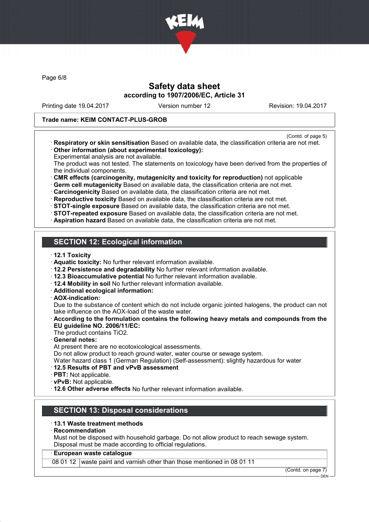

Page 6/8

# Safety data sheet according to 1907/2006/EC, Article 31

Printing date 19.04.2017 Version number 12 Revision: 19.04.2017

#### Trade name: KEIM CONTACT-PLUS-GROB

- (Contd. of page 5)
- · Respiratory or skin sensitisation Based on available data, the classification criteria are not met. · Other information (about experimental toxicology):
- Experimental analysis are not available.

The product was not tested. The statements on toxicology have been derived from the properties of the individual components.

· CMR effects (carcinogenity, mutagenicity and toxicity for reproduction) not applicable

· Germ cell mutagenicity Based on available data, the classification criteria are not met.

· Carcinogenicity Based on available data, the classification criteria are not met.

· Reproductive toxicity Based on available data, the classification criteria are not met.

· STOT-single exposure Based on available data, the classification criteria are not met.

- · STOT-repeated exposure Based on available data, the classification criteria are not met.
- · Aspiration hazard Based on available data, the classification criteria are not met.

# SECTION 12: Ecological information

- · 12.1 Toxicity
- · Aquatic toxicity: No further relevant information available.
- · 12.2 Persistence and degradability No further relevant information available.
- · 12.3 Bioaccumulative potential No further relevant information available.
- · 12.4 Mobility in soil No further relevant information available.
- · Additional ecological information:
- · AOX-indication:

Due to the substance of content which do not include organic jointed halogens, the product can not take influence on the AOX-load of the waste water.

- · According to the formulation contains the following heavy metals and compounds from the EU guideline NO. 2006/11/EC:
- The product contains TiO2.

General notes:

At present there are no ecotoxicological assessments.

Do not allow product to reach ground water, water course or sewage system.

Water hazard class 1 (German Regulation) (Self-assessment): slightly hazardous for water

### · 12.5 Results of PBT and vPvB assessment

- · PBT: Not applicable.
- · vPvB: Not applicable.

· 12.6 Other adverse effects No further relevant information available.

## SECTION 13: Disposal considerations

### · 13.1 Waste treatment methods

### **Recommendation**

Must not be disposed with household garbage. Do not allow product to reach sewage system. Disposal must be made according to official regulations.

### · European waste catalogue

08 01 12 waste paint and varnish other than those mentioned in 08 01 11

(Contd. on page 7) DEN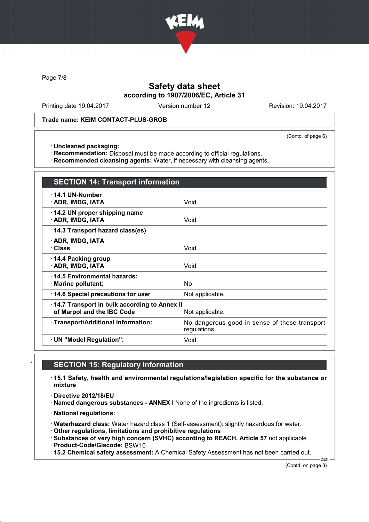

Page 7/8

# Safety data sheet according to 1907/2006/EC, Article 31

Printing date 19.04.2017 Version number 12 Revision: 19.04.2017

### Trade name: KEIM CONTACT-PLUS-GROB

(Contd. of page 6)

· Uncleaned packaging:

· Recommendation: Disposal must be made according to official regulations.

· Recommended cleansing agents: Water, if necessary with cleansing agents.

| <b>SECTION 14: Transport information</b>                                                      |                                                               |
|-----------------------------------------------------------------------------------------------|---------------------------------------------------------------|
| $\cdot$ 14.1 UN-Number<br>· ADR, IMDG, IATA                                                   | Void                                                          |
| 14.2 UN proper shipping name<br>· ADR, IMDG, IATA                                             | Void                                                          |
| 14.3 Transport hazard class(es)                                                               |                                                               |
| · ADR, IMDG, IATA<br>· Class                                                                  | Void                                                          |
| 14.4 Packing group<br>· ADR, IMDG, IATA                                                       | Void                                                          |
| ⋅14.5 Environmental hazards:<br>· Marine pollutant:                                           | No                                                            |
| 14.6 Special precautions for user                                                             | Not applicable.                                               |
| 14.7 Transport in bulk according to Annex II<br>of Marpol and the IBC Code<br>Not applicable. |                                                               |
| · Transport/Additional information:                                                           | No dangerous good in sense of these transport<br>regulations. |
| · UN "Model Regulation":                                                                      | Void                                                          |

# **SECTION 15: Regulatory information**

· 15.1 Safety, health and environmental regulations/legislation specific for the substance or mixture

· Directive 2012/18/EU

· Named dangerous substances - ANNEX I None of the ingredients is listed.

· National regulations:

· Waterhazard class: Water hazard class 1 (Self-assessment): slightly hazardous for water.

· Other regulations, limitations and prohibitive regulations

· Substances of very high concern (SVHC) according to REACH, Article 57 not applicable

· Product-Code/Giscode: BSW10

· 15.2 Chemical safety assessment: A Chemical Safety Assessment has not been carried out.

(Contd. on page 8)

DEN